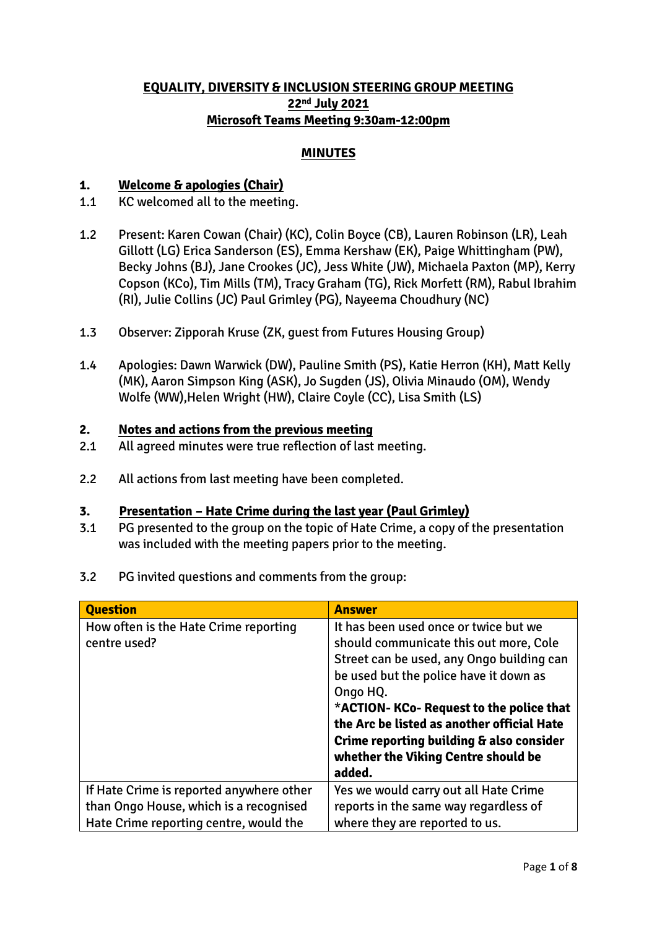## **EQUALITY, DIVERSITY & INCLUSION STEERING GROUP MEETING 22nd July 2021 Microsoft Teams Meeting 9:30am-12:00pm**

## **MINUTES**

### **1. Welcome & apologies (Chair)**

- 1.1 KC welcomed all to the meeting.
- 1.2 Present: Karen Cowan (Chair) (KC), Colin Boyce (CB), Lauren Robinson (LR), Leah Gillott (LG) Erica Sanderson (ES), Emma Kershaw (EK), Paige Whittingham (PW), Becky Johns (BJ), Jane Crookes (JC), Jess White (JW), Michaela Paxton (MP), Kerry Copson (KCo), Tim Mills (TM), Tracy Graham (TG), Rick Morfett (RM), Rabul Ibrahim (RI), Julie Collins (JC) Paul Grimley (PG), Nayeema Choudhury (NC)
- 1.3 Observer: Zipporah Kruse (ZK, guest from Futures Housing Group)
- 1.4 Apologies: Dawn Warwick (DW), Pauline Smith (PS), Katie Herron (KH), Matt Kelly (MK), Aaron Simpson King (ASK), Jo Sugden (JS), Olivia Minaudo (OM), Wendy Wolfe (WW),Helen Wright (HW), Claire Coyle (CC), Lisa Smith (LS)

### **2. Notes and actions from the previous meeting**

- 2.1 All agreed minutes were true reflection of last meeting.
- 2.2 All actions from last meeting have been completed.

#### **3. Presentation – Hate Crime during the last year (Paul Grimley)**

- 3.1 PG presented to the group on the topic of Hate Crime, a copy of the presentation was included with the meeting papers prior to the meeting.
- 3.2 PG invited questions and comments from the group:

| <b>Question</b>                                                                                                              | <b>Answer</b>                                                                                                                                                                            |
|------------------------------------------------------------------------------------------------------------------------------|------------------------------------------------------------------------------------------------------------------------------------------------------------------------------------------|
| How often is the Hate Crime reporting<br>centre used?                                                                        | It has been used once or twice but we<br>should communicate this out more, Cole<br>Street can be used, any Ongo building can                                                             |
|                                                                                                                              | be used but the police have it down as<br>Ongo HQ.<br>*ACTION- KCo- Request to the police that<br>the Arc be listed as another official Hate<br>Crime reporting building & also consider |
|                                                                                                                              | whether the Viking Centre should be<br>added.                                                                                                                                            |
| If Hate Crime is reported anywhere other<br>than Ongo House, which is a recognised<br>Hate Crime reporting centre, would the | Yes we would carry out all Hate Crime<br>reports in the same way regardless of<br>where they are reported to us.                                                                         |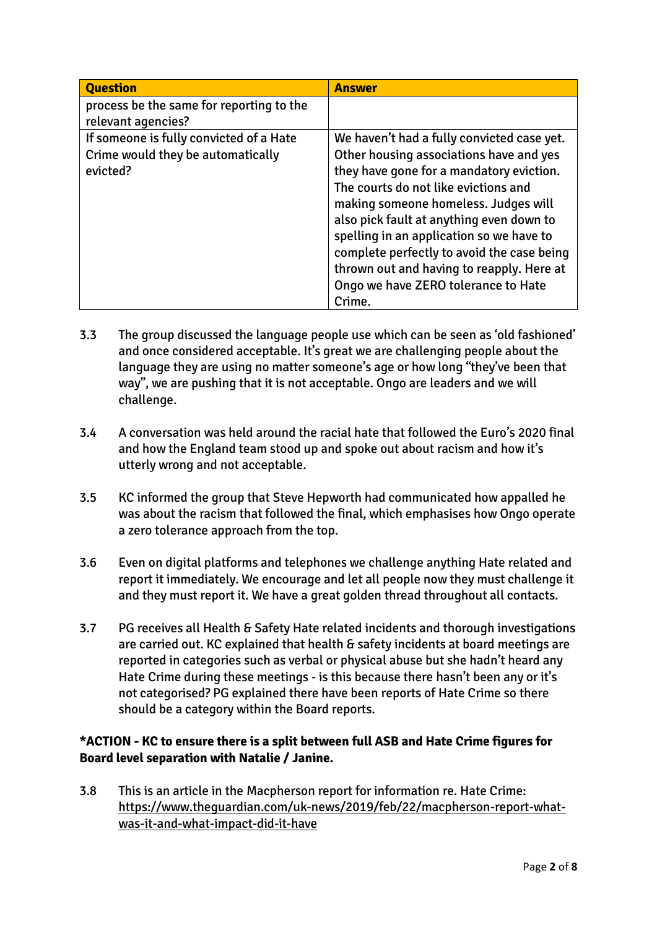| <b>Question</b>                          | <b>Answer</b>                              |
|------------------------------------------|--------------------------------------------|
| process be the same for reporting to the |                                            |
| relevant agencies?                       |                                            |
| If someone is fully convicted of a Hate  | We haven't had a fully convicted case yet. |
| Crime would they be automatically        | Other housing associations have and yes    |
| evicted?                                 | they have gone for a mandatory eviction.   |
|                                          | The courts do not like evictions and       |
|                                          | making someone homeless. Judges will       |
|                                          | also pick fault at anything even down to   |
|                                          | spelling in an application so we have to   |
|                                          | complete perfectly to avoid the case being |
|                                          | thrown out and having to reapply. Here at  |
|                                          | Ongo we have ZERO tolerance to Hate        |
|                                          | Crime.                                     |

- 3.3 The group discussed the language people use which can be seen as 'old fashioned' and once considered acceptable. It's great we are challenging people about the language they are using no matter someone's age or how long "they've been that way", we are pushing that it is not acceptable. Ongo are leaders and we will challenge.
- 3.4 A conversation was held around the racial hate that followed the Euro's 2020 final and how the England team stood up and spoke out about racism and how it's utterly wrong and not acceptable.
- 3.5 KC informed the group that Steve Hepworth had communicated how appalled he was about the racism that followed the final, which emphasises how Ongo operate a zero tolerance approach from the top.
- 3.6 Even on digital platforms and telephones we challenge anything Hate related and report it immediately. We encourage and let all people now they must challenge it and they must report it. We have a great golden thread throughout all contacts.
- 3.7 PG receives all Health & Safety Hate related incidents and thorough investigations are carried out. KC explained that health & safety incidents at board meetings are reported in categories such as verbal or physical abuse but she hadn't heard any Hate Crime during these meetings - is this because there hasn't been any or it's not categorised? PG explained there have been reports of Hate Crime so there should be a category within the Board reports.

## **\*ACTION - KC to ensure there is a split between full ASB and Hate Crime figures for Board level separation with Natalie / Janine.**

3.8 This is an article in the Macpherson report for information re. Hate Crime: [https://www.theguardian.com/uk-news/2019/feb/22/macpherson-report-what](https://www.theguardian.com/uk-news/2019/feb/22/macpherson-report-what-was-it-and-what-impact-did-it-have)[was-it-and-what-impact-did-it-have](https://www.theguardian.com/uk-news/2019/feb/22/macpherson-report-what-was-it-and-what-impact-did-it-have)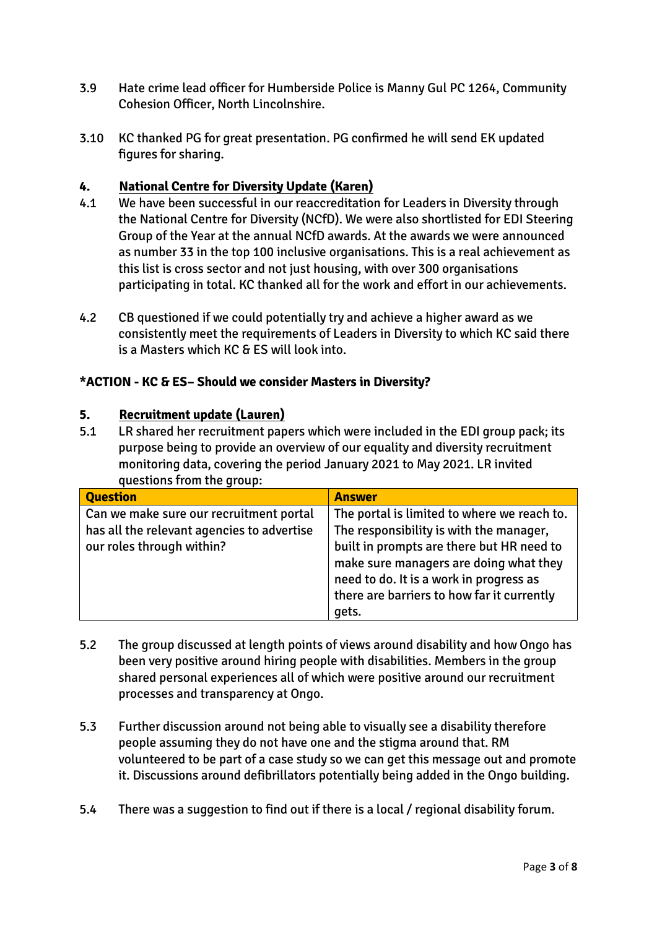- 3.9 Hate crime lead officer for Humberside Police is Manny Gul PC 1264, Community Cohesion Officer, North Lincolnshire.
- 3.10 KC thanked PG for great presentation. PG confirmed he will send EK updated figures for sharing.

### **4. National Centre for Diversity Update (Karen)**

- 4.1 We have been successful in our reaccreditation for Leaders in Diversity through the National Centre for Diversity (NCfD). We were also shortlisted for EDI Steering Group of the Year at the annual NCfD awards. At the awards we were announced as number 33 in the top 100 inclusive organisations. This is a real achievement as this list is cross sector and not just housing, with over 300 organisations participating in total. KC thanked all for the work and effort in our achievements.
- 4.2 CB questioned if we could potentially try and achieve a higher award as we consistently meet the requirements of Leaders in Diversity to which KC said there is a Masters which KC & ES will look into.

#### **\*ACTION - KC & ES– Should we consider Masters in Diversity?**

#### **5. Recruitment update (Lauren)**

5.1 LR shared her recruitment papers which were included in the EDI group pack; its purpose being to provide an overview of our equality and diversity recruitment monitoring data, covering the period January 2021 to May 2021. LR invited questions from the group:

| <b>Question</b>                                                                                                    | <b>Answer</b>                                                                                                                                                                                                            |
|--------------------------------------------------------------------------------------------------------------------|--------------------------------------------------------------------------------------------------------------------------------------------------------------------------------------------------------------------------|
| Can we make sure our recruitment portal<br>has all the relevant agencies to advertise<br>our roles through within? | The portal is limited to where we reach to.<br>The responsibility is with the manager,<br>built in prompts are there but HR need to<br>make sure managers are doing what they<br>need to do. It is a work in progress as |
|                                                                                                                    | there are barriers to how far it currently<br>gets.                                                                                                                                                                      |

- 5.2 The group discussed at length points of views around disability and how Ongo has been very positive around hiring people with disabilities. Members in the group shared personal experiences all of which were positive around our recruitment processes and transparency at Ongo.
- 5.3 Further discussion around not being able to visually see a disability therefore people assuming they do not have one and the stigma around that. RM volunteered to be part of a case study so we can get this message out and promote it. Discussions around defibrillators potentially being added in the Ongo building.
- 5.4 There was a suggestion to find out if there is a local / regional disability forum.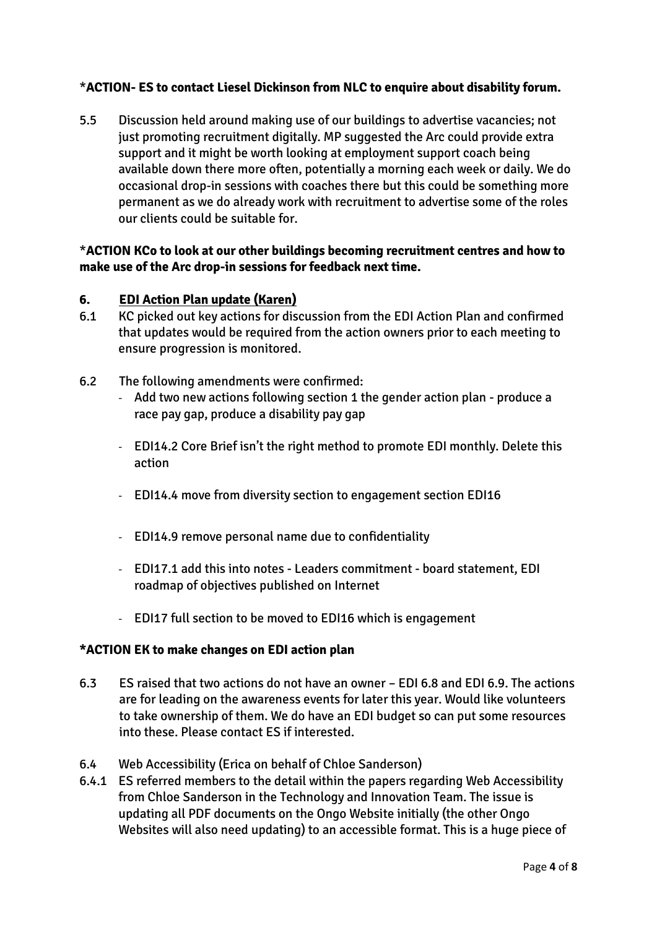## \***ACTION- ES to contact Liesel Dickinson from NLC to enquire about disability forum.**

5.5 Discussion held around making use of our buildings to advertise vacancies; not just promoting recruitment digitally. MP suggested the Arc could provide extra support and it might be worth looking at employment support coach being available down there more often, potentially a morning each week or daily. We do occasional drop-in sessions with coaches there but this could be something more permanent as we do already work with recruitment to advertise some of the roles our clients could be suitable for.

#### \***ACTION KCo to look at our other buildings becoming recruitment centres and how to make use of the Arc drop-in sessions for feedback next time.**

#### **6. EDI Action Plan update (Karen)**

- 6.1 KC picked out key actions for discussion from the EDI Action Plan and confirmed that updates would be required from the action owners prior to each meeting to ensure progression is monitored.
- 6.2 The following amendments were confirmed:
	- Add two new actions following section 1 the gender action plan produce a race pay gap, produce a disability pay gap
	- EDI14.2 Core Brief isn't the right method to promote EDI monthly. Delete this action
	- EDI14.4 move from diversity section to engagement section EDI16
	- EDI14.9 remove personal name due to confidentiality
	- EDI17.1 add this into notes Leaders commitment board statement, EDI roadmap of objectives published on Internet
	- EDI17 full section to be moved to EDI16 which is engagement

#### **\*ACTION EK to make changes on EDI action plan**

- 6.3 ES raised that two actions do not have an owner EDI 6.8 and EDI 6.9. The actions are for leading on the awareness events for later this year. Would like volunteers to take ownership of them. We do have an EDI budget so can put some resources into these. Please contact ES if interested.
- 6.4 Web Accessibility (Erica on behalf of Chloe Sanderson)
- 6.4.1 ES referred members to the detail within the papers regarding Web Accessibility from Chloe Sanderson in the Technology and Innovation Team. The issue is updating all PDF documents on the Ongo Website initially (the other Ongo Websites will also need updating) to an accessible format. This is a huge piece of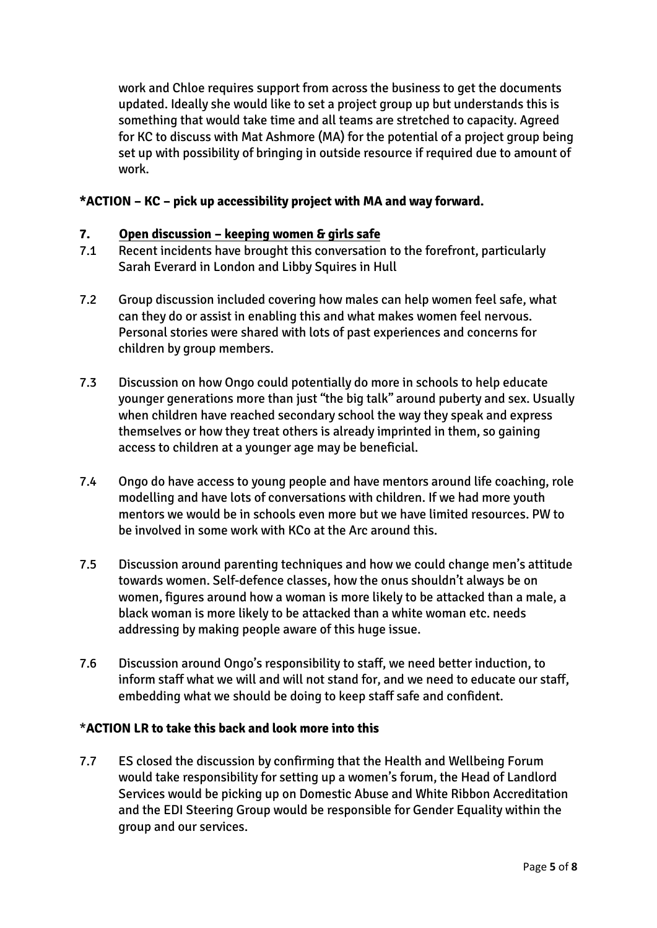work and Chloe requires support from across the business to get the documents updated. Ideally she would like to set a project group up but understands this is something that would take time and all teams are stretched to capacity. Agreed for KC to discuss with Mat Ashmore (MA) for the potential of a project group being set up with possibility of bringing in outside resource if required due to amount of work.

#### **\*ACTION – KC – pick up accessibility project with MA and way forward.**

#### **7. Open discussion – keeping women & girls safe**

- 7.1 Recent incidents have brought this conversation to the forefront, particularly Sarah Everard in London and Libby Squires in Hull
- 7.2 Group discussion included covering how males can help women feel safe, what can they do or assist in enabling this and what makes women feel nervous. Personal stories were shared with lots of past experiences and concerns for children by group members.
- 7.3 Discussion on how Ongo could potentially do more in schools to help educate younger generations more than just "the big talk" around puberty and sex. Usually when children have reached secondary school the way they speak and express themselves or how they treat others is already imprinted in them, so gaining access to children at a younger age may be beneficial.
- 7.4 Ongo do have access to young people and have mentors around life coaching, role modelling and have lots of conversations with children. If we had more youth mentors we would be in schools even more but we have limited resources. PW to be involved in some work with KCo at the Arc around this.
- 7.5 Discussion around parenting techniques and how we could change men's attitude towards women. Self-defence classes, how the onus shouldn't always be on women, figures around how a woman is more likely to be attacked than a male, a black woman is more likely to be attacked than a white woman etc. needs addressing by making people aware of this huge issue.
- 7.6 Discussion around Ongo's responsibility to staff, we need better induction, to inform staff what we will and will not stand for, and we need to educate our staff, embedding what we should be doing to keep staff safe and confident.

#### \***ACTION LR to take this back and look more into this**

7.7 ES closed the discussion by confirming that the Health and Wellbeing Forum would take responsibility for setting up a women's forum, the Head of Landlord Services would be picking up on Domestic Abuse and White Ribbon Accreditation and the EDI Steering Group would be responsible for Gender Equality within the group and our services.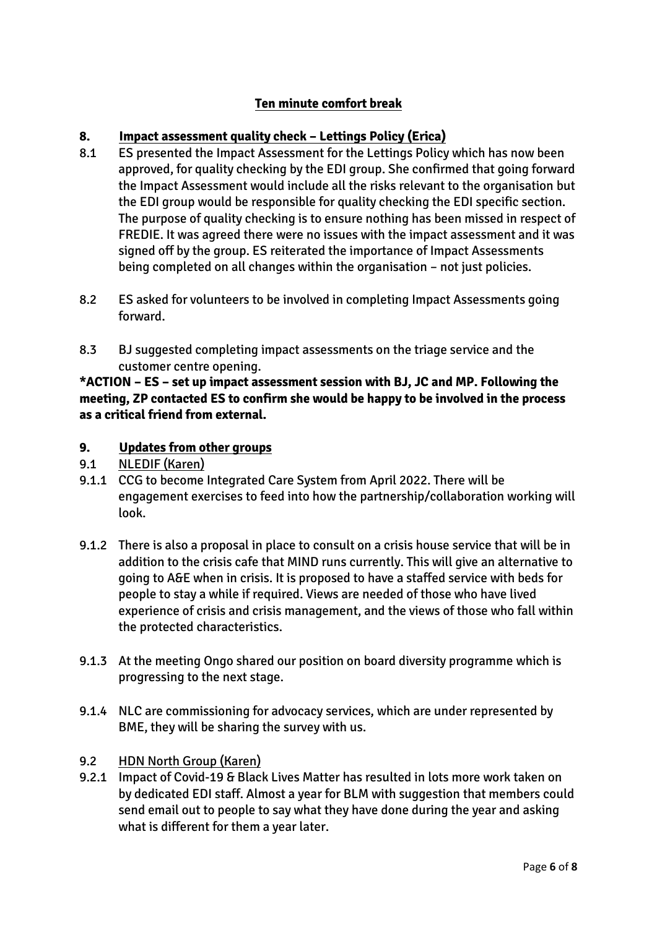# **Ten minute comfort break**

### **8. Impact assessment quality check – Lettings Policy (Erica)**

- 8.1 ES presented the Impact Assessment for the Lettings Policy which has now been approved, for quality checking by the EDI group. She confirmed that going forward the Impact Assessment would include all the risks relevant to the organisation but the EDI group would be responsible for quality checking the EDI specific section. The purpose of quality checking is to ensure nothing has been missed in respect of FREDIE. It was agreed there were no issues with the impact assessment and it was signed off by the group. ES reiterated the importance of Impact Assessments being completed on all changes within the organisation – not just policies.
- 8.2 ES asked for volunteers to be involved in completing Impact Assessments going forward.
- 8.3 BJ suggested completing impact assessments on the triage service and the customer centre opening.

**\*ACTION – ES – set up impact assessment session with BJ, JC and MP. Following the meeting, ZP contacted ES to confirm she would be happy to be involved in the process as a critical friend from external.** 

#### **9. Updates from other groups**

- 9.1 NLEDIF (Karen)
- 9.1.1 CCG to become Integrated Care System from April 2022. There will be engagement exercises to feed into how the partnership/collaboration working will look.
- 9.1.2 There is also a proposal in place to consult on a crisis house service that will be in addition to the crisis cafe that MIND runs currently. This will give an alternative to going to A&E when in crisis. It is proposed to have a staffed service with beds for people to stay a while if required. Views are needed of those who have lived experience of crisis and crisis management, and the views of those who fall within the protected characteristics.
- 9.1.3 At the meeting Ongo shared our position on board diversity programme which is progressing to the next stage.
- 9.1.4 NLC are commissioning for advocacy services, which are under represented by BME, they will be sharing the survey with us.
- 9.2 HDN North Group (Karen)
- 9.2.1 Impact of Covid-19 & Black Lives Matter has resulted in lots more work taken on by dedicated EDI staff. Almost a year for BLM with suggestion that members could send email out to people to say what they have done during the year and asking what is different for them a year later.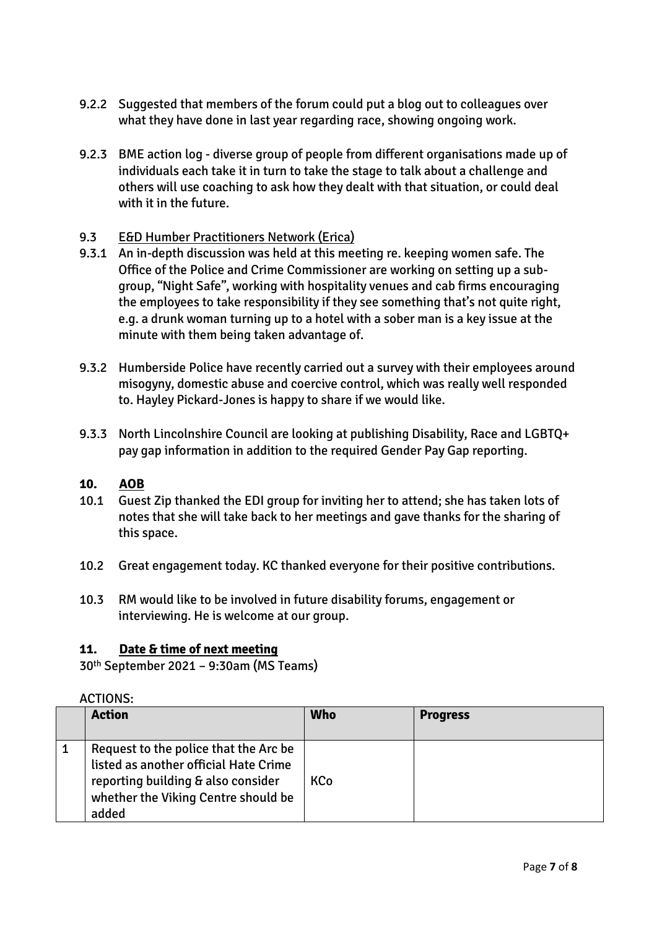- 9.2.2 Suggested that members of the forum could put a blog out to colleagues over what they have done in last year regarding race, showing ongoing work.
- 9.2.3 BME action log diverse group of people from different organisations made up of individuals each take it in turn to take the stage to talk about a challenge and others will use coaching to ask how they dealt with that situation, or could deal with it in the future.

#### 9.3 E&D Humber Practitioners Network (Erica)

- 9.3.1 An in-depth discussion was held at this meeting re. keeping women safe. The Office of the Police and Crime Commissioner are working on setting up a subgroup, "Night Safe", working with hospitality venues and cab firms encouraging the employees to take responsibility if they see something that's not quite right, e.g. a drunk woman turning up to a hotel with a sober man is a key issue at the minute with them being taken advantage of.
- 9.3.2 Humberside Police have recently carried out a survey with their employees around misogyny, domestic abuse and coercive control, which was really well responded to. Hayley Pickard-Jones is happy to share if we would like.
- 9.3.3 North Lincolnshire Council are looking at publishing Disability, Race and LGBTQ+ pay gap information in addition to the required Gender Pay Gap reporting.

#### **10. AOB**

- 10.1 Guest Zip thanked the EDI group for inviting her to attend; she has taken lots of notes that she will take back to her meetings and gave thanks for the sharing of this space.
- 10.2 Great engagement today. KC thanked everyone for their positive contributions.
- 10.3 RM would like to be involved in future disability forums, engagement or interviewing. He is welcome at our group.

#### **11. Date & time of next meeting**

30th September 2021 – 9:30am (MS Teams)

#### ACTIONS:

| <b>Action</b>                                                                                                                                                        | <b>Who</b> | <b>Progress</b> |
|----------------------------------------------------------------------------------------------------------------------------------------------------------------------|------------|-----------------|
| Request to the police that the Arc be<br>listed as another official Hate Crime<br>reporting building & also consider<br>whether the Viking Centre should be<br>added | <b>KCo</b> |                 |